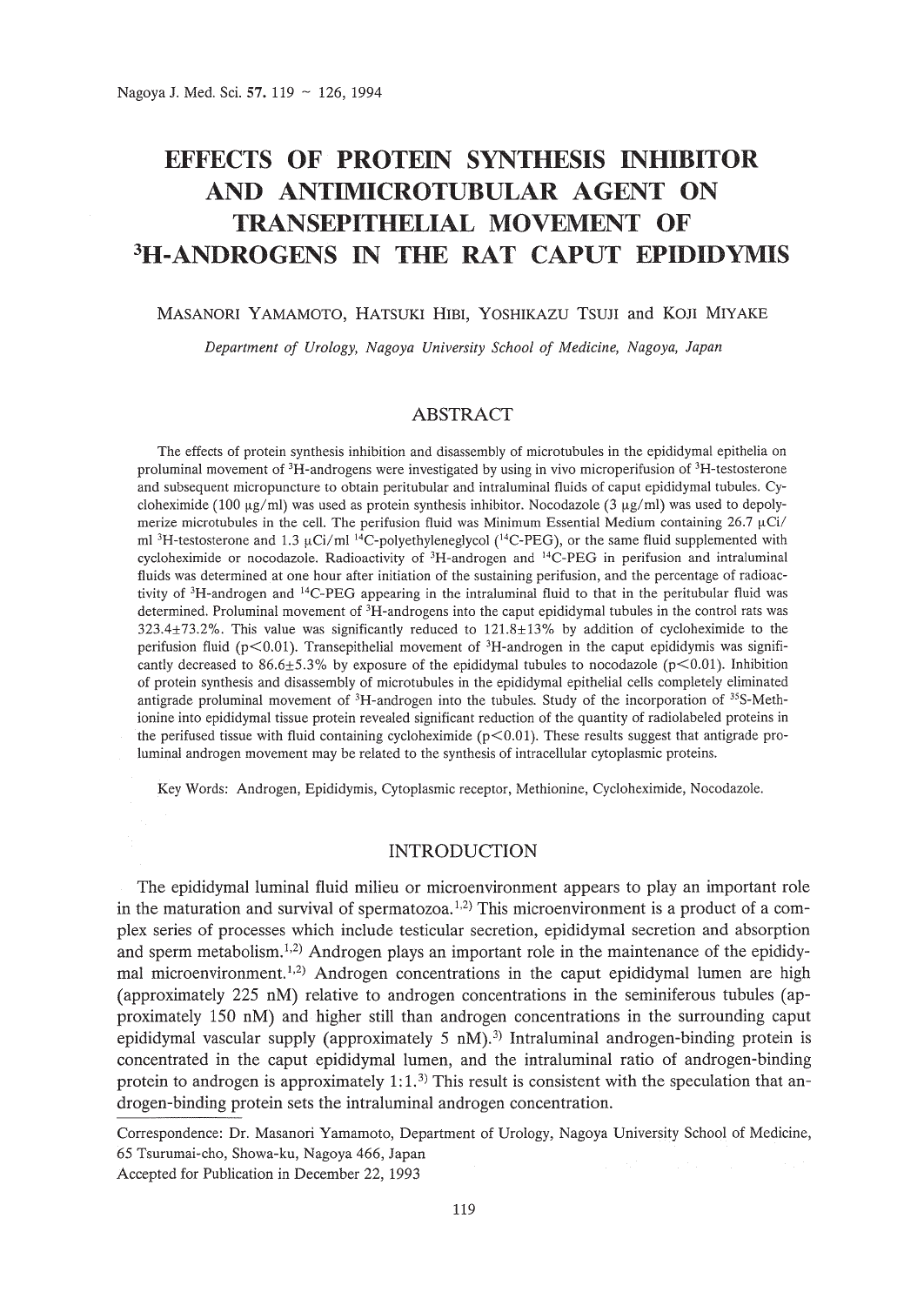# **EFFECTS OF PROTEIN SYNTHESIS INHIBITOR AND ANTIMICROTUBULAR AGENT ON TRANSEPITHELIAL MOVEMENT OF 3H-ANDROGENS IN THE RAT CAPUT EPIDIDYMIS**

#### MASANORI YAMAMOTO, HATSUKI HIBI, YOSHIKAZU TSUJI and KOJI MIYAKE

*Department of Urology, Nagoya University School of Medicine, Nagoya, Japan*

# ABSTRACT

The effects of protein synthesis inhibition and disassembly of microtubules in the epididymal epithelia on proluminal movement of 3H-androgens were investigated by using in vivo microperifusion of 3H-testosterone and subsequent micropuncture to obtain peritubular and intraluminal fluids of caput epididymal tubules. Cycloheximide (100  $\mu$ g/ml) was used as protein synthesis inhibitor. Nocodazole (3  $\mu$ g/ml) was used to depolymerize microtubules in the cell. The perifusion fluid was Minimum Essential Medium containing  $26.7 \mu\text{Ci}/$ ml <sup>3</sup>H-testosterone and 1.3  $\mu$ Ci/ml <sup>14</sup>C-polyethyleneglycol (<sup>14</sup>C-PEG), or the same fluid supplemented with cycloheximide or nocodazole. Radioactivity of 3H-androgen and 14C-PEG in perifusion and intraluminal fluids was determined at one hour after initiation of the sustaining perifusion, and the percentage of radioactivity of 3H-androgen and 1 4C-PEG appearing in the intraluminal fluid to that in the peritubular fluid was determined. Proluminal movement of 3H-androgens into the caput epididymal tubules in the control rats was 323.4±73.2%. This value was significantly reduced to 121.8±13% by addition of cycloheximide to the perifusion fluid ( $p<0.01$ ). Transepithelial movement of <sup>3</sup>H-androgen in the caput epididymis was significantly decreased to 86.6 $\pm$ 5.3% by exposure of the epididymal tubules to nocodazole (p<0.01). Inhibition of protein synthesis and disassembly of microtubules in the epididymal epithelial cells completely eliminated antigrade proluminal movement of 3H-androgen into the tubules. Study of the incorporation of 35S-Methionine into epididymal tissue protein revealed significant reduction of the quantity of radiolabeled proteins in the perifused tissue with fluid containing cycloheximide ( $p<0.01$ ). These results suggest that antigrade proluminal androgen movement may be related to the synthesis of intracellular cytoplasmic proteins.

Key Words: Androgen, Epididymis, Cytoplasmic receptor, Methionine, Cycloheximide, Nocodazole.

# INTRODUCTION

The epididymal luminal fluid milieu or microenvironment appears to play an important role in the maturation and survival of spermatozoa.<sup>1,2)</sup> This microenvironment is a product of a complex series of processes which include testicular secretion, epididymal secretion and absorption and sperm metabolism.<sup>1,2</sup>) Androgen plays an important role in the maintenance of the epididymal microenvironment.<sup>1,2</sup>) Androgen concentrations in the caput epididymal lumen are high (approximately 225 nM) relative to androgen concentrations in the seminiferous tubules (approximately 150 nM) and higher still than androgen concentrations in the surrounding caput epididymal vascular supply (approximately 5 nM).<sup>3)</sup> Intraluminal androgen-binding protein is concentrated in the caput epididymal lumen, and the intraluminal ratio of androgen-binding protein to androgen is approximately 1:1.<sup>3)</sup> This result is consistent with the speculation that androgen-binding protein sets the intraluminal androgen concentration.

Correspondence: Dr. Masanori Yamamoto, Department of Urology, Nagoya University School of Medicine, 65 Tsurumai-cho, Showa-ku, Nagoya 466, Japan

Accepted for Publication in December 22, 1993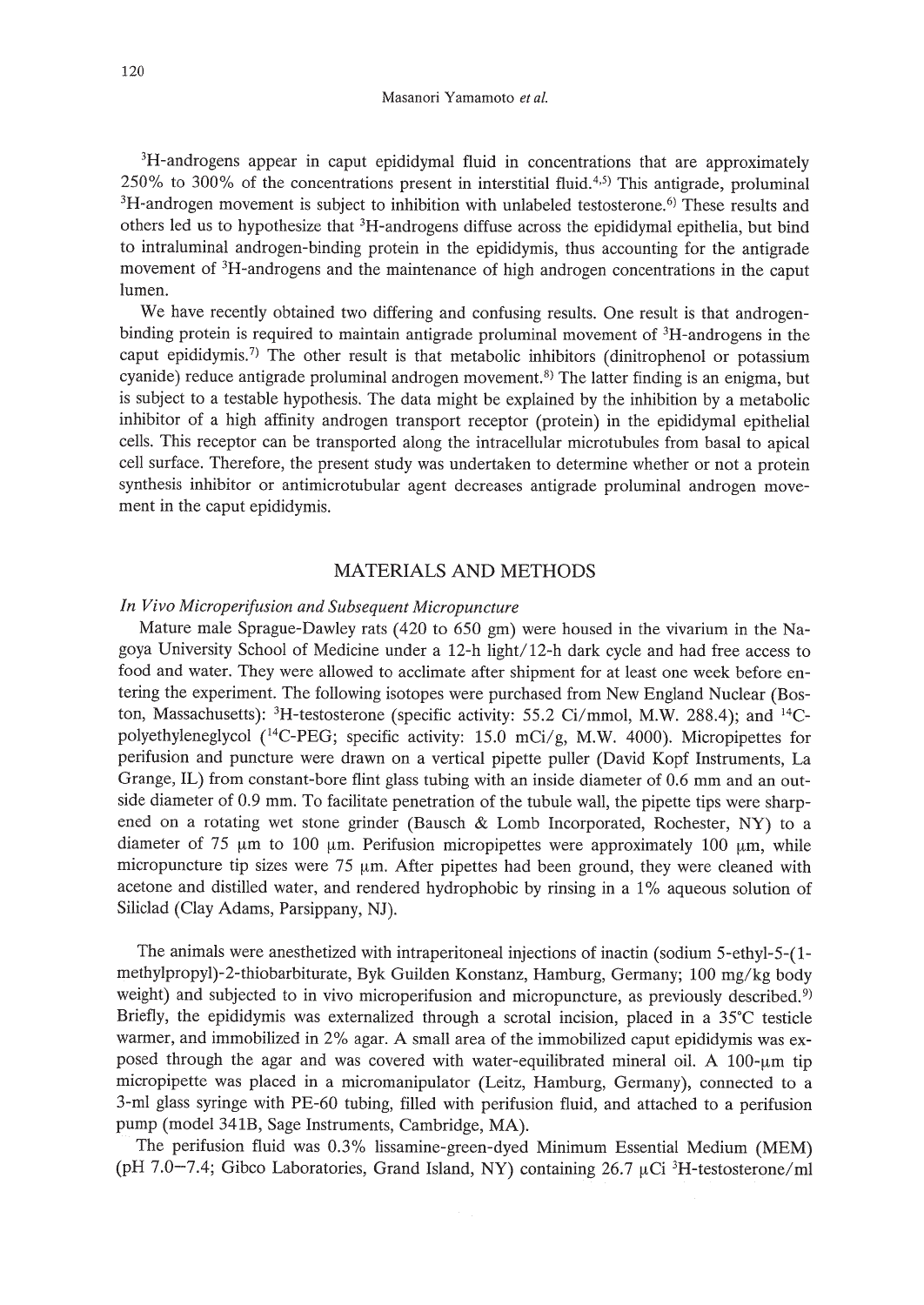<sup>3</sup>H-androgens appear in caput epididymal fluid in concentrations that are approximately  $250\%$  to 300% of the concentrations present in interstitial fluid.<sup>4,5)</sup> This antigrade, proluminal <sup>3</sup>H-androgen movement is subject to inhibition with unlabeled testosterone.<sup>6)</sup> These results and others led us to hypothesize that 3H-androgens diffuse across the epididymal epithelia, but bind to intraluminal androgen-binding protein in the epididymis, thus accounting for the antigrade movement of 3H-androgens and the maintenance of high androgen concentrations in the caput lumen.

We have recently obtained two differing and confusing results. One result is that androgenbinding protein is required to maintain antigrade proluminal movement of 3H-androgens in the caput epididymis.<sup>7)</sup> The other result is that metabolic inhibitors (dinitrophenol or potassium cyanide) reduce antigrade proluminal androgen movement.<sup>8)</sup> The latter finding is an enigma, but is subject to a testable hypothesis. The data might be explained by the inhibition by a metabolic inhibitor of a high affinity androgen transport receptor (protein) in the epididymal epithelial cells. This receptor can be transported along the intracellular microtubules from basal to apical cell surface. Therefore, the present study was undertaken to determine whether or not a protein synthesis inhibitor or antimicrotubular agent decreases antigrade proluminal androgen movement in the caput epididymis.

# MATERIALS AND METHODS

### *In Vivo Microperifusion and Subsequent Micropuncture*

Mature male Sprague-Dawley rats (420 to 650 gm) were housed in the vivarium in the Nagoya University School of Medicine under a 12-h light/12-h dark cycle and had free access to food and water. They were allowed to acclimate after shipment for at least one week before entering the experiment. The following isotopes were purchased from New England Nuclear (Boston, Massachusetts):  ${}^{3}$ H-testosterone (specific activity: 55.2 Ci/mmol, M.W. 288.4); and  ${}^{14}$ Cpolyethyleneglycol  $(^{14}C$ -PEG; specific activity: 15.0 mCi/g, M.W. 4000). Micropipettes for perifusion and puncture were drawn on a vertical pipette puller (David Kopf Instruments, La Grange, IL) from constant-bore flint glass tubing with an inside diameter of 0.6 mm and an outside diameter of 0.9 mm. To facilitate penetration of the tubule wall, the pipette tips were sharpened on a rotating wet stone grinder (Bausch  $\&$  Lomb Incorporated, Rochester, NY) to a diameter of 75  $\mu$ m to 100  $\mu$ m. Perifusion micropipettes were approximately 100  $\mu$ m, while micropuncture tip sizes were 75  $\mu$ m. After pipettes had been ground, they were cleaned with acetone and distilled water, and rendered hydrophobic by rinsing in a 1% aqueous solution of Siliclad (Clay Adams, Parsippany, NJ).

The animals were anesthetized with intraperitoneal injections of inactin (sodium 5-ethyl-5-(1 methylpropyl)-2-thiobarbiturate, Byk Guilden Konstanz, Hamburg, Germany; 100 mg/kg body weight) and subjected to in vivo microperifusion and micropuncture, as previously described.<sup>9)</sup> Briefly, the epididymis was externalized through a scrotal incision, placed in a 35°C testicle warmer, and immobilized in 2% agar. A small area of the immobilized caput epididymis was exposed through the agar and was covered with water-equilibrated mineral oil. A  $100$ - $\mu$ m tip micropipette was placed in a micromanipulator (Leitz, Hamburg, Germany), connected to a 3-ml glass syringe with PE-60 tubing, filled with perifusion fluid, and attached to a perifusion pump (model 34IB, Sage Instruments, Cambridge, MA).

The perifusion fluid was 0.3% lissamine-green-dyed Minimum Essential Medium (MEM) (pH 7.0-7.4; Gibco Laboratories, Grand Island, NY) containing 26.7  $\mu$ Ci <sup>3</sup>H-testosterone/ml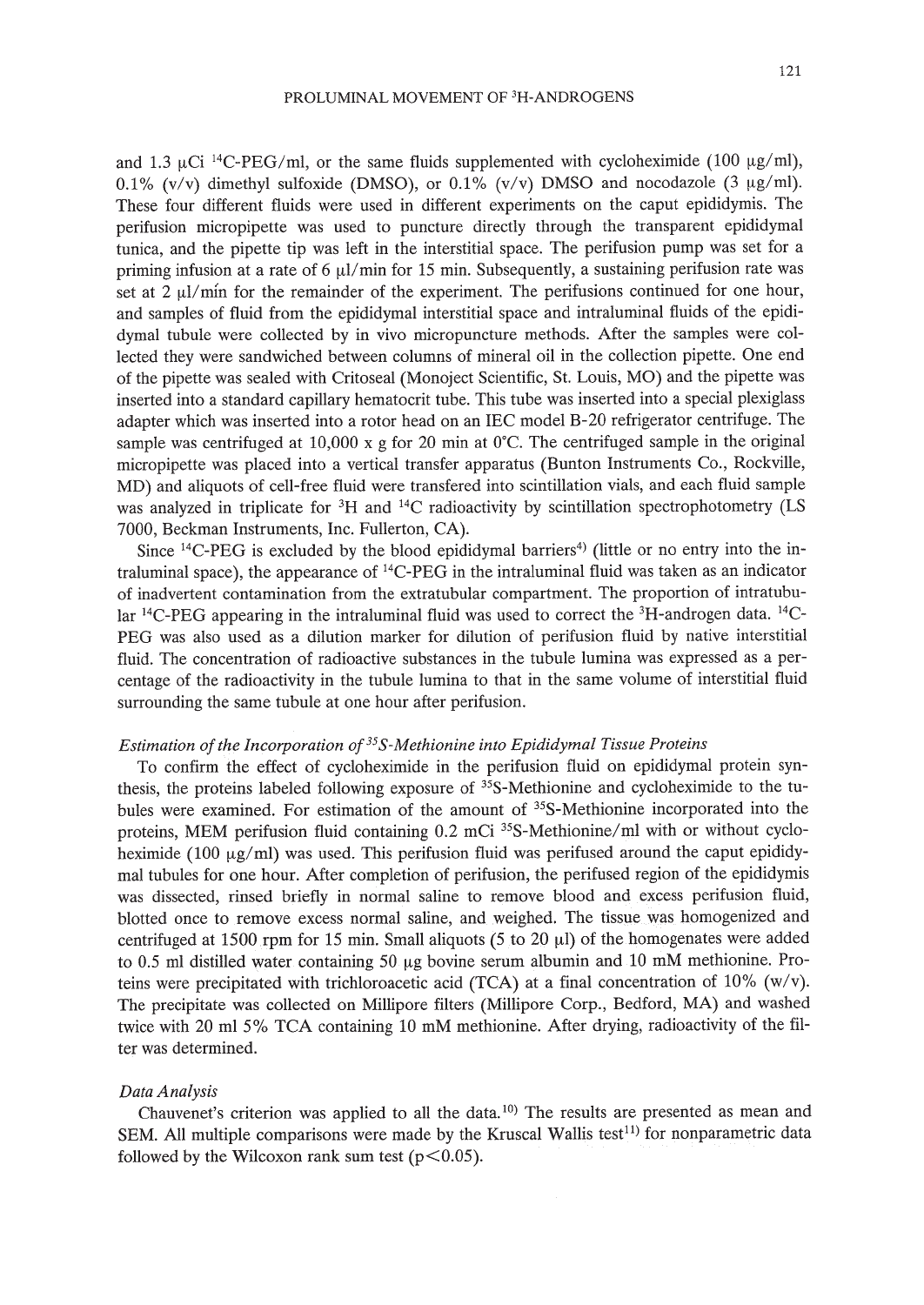and 1.3  $\mu$ Ci <sup>14</sup>C-PEG/ml, or the same fluids supplemented with cycloheximide (100  $\mu$ g/ml), 0.1% (v/v) dimethyl sulfoxide (DMSO), or 0.1% (v/v) DMSO and nocodazole (3  $\mu$ g/ml). These four different fluids were used in different experiments on the caput epididymis. The perifusion micropipette was used to puncture directly through the transparent epididymal tunica, and the pipette tip was left in the interstitial space. The perifusion pump was set for a priming infusion at a rate of 6  $\mu$ l/min for 15 min. Subsequently, a sustaining perifusion rate was set at  $2 \mu l/min$  for the remainder of the experiment. The perifusions continued for one hour, and samples of fluid from the epididymal interstitial space and intraluminal fluids of the epididymal tubule were collected by in vivo micropuncture methods. After the samples were collected they were sandwiched between columns of mineral oil in the collection pipette. One end of the pipette was sealed with Critoseal (Monoject Scientific, St. Louis, MO) and the pipette was inserted into a standard capillary hematocrit tube. This tube was inserted into a special plexiglass adapter which was inserted into a rotor head on an IEC model B-20 refrigerator centrifuge. The sample was centrifuged at 10,000 x g for 20 min at  $0^{\circ}$ C. The centrifuged sample in the original micropipette was placed into a vertical transfer apparatus (Bunton Instruments Co., Rockville, MD) and aliquots of cell-free fluid were transfered into scintillation vials, and each fluid sample was analyzed in triplicate for <sup>3</sup>H and <sup>14</sup>C radioactivity by scintillation spectrophotometry (LS 7000, Beckman Instruments, Inc. Fullerton, CA).

Since  $^{14}$ C-PEG is excluded by the blood epididymal barriers<sup>4)</sup> (little or no entry into the intraluminal space), the appearance of  $^{14}$ C-PEG in the intraluminal fluid was taken as an indicator of inadvertent contamination from the extratubular compartment. The proportion of intratubular 14C-PEG appearing in the intraluminal fluid was used to correct the 3H-androgen data. *14C\_* PEG was also used as a dilution marker for dilution of perifusion fluid by native interstitial fluid. The concentration of radioactive substances in the tubule lumina was expressed as a percentage of the radioactivity in the tubule lumina to that in the same volume of interstitial fluid surrounding the same tubule at one hour after perifusion.

# *Estimation of the Incorporation of*<sup>35</sup>*S*-*Methionine into Epididymal Tissue Proteins*

To confirm the effect of cycloheximide in the perifusion fluid on epididymal protein synthesis, the proteins labeled following exposure of 35S-Methionine and cycloheximide to the tubules were examined. For estimation of the amount of 35S-Methionine incorporated into the proteins, MEM perifusion fluid containing 0.2 mCi <sup>35</sup>S-Methionine/ml with or without cycloheximide (100  $\mu$ g/ml) was used. This perifusion fluid was perifused around the caput epididymal tubules for one hour. After completion of perifusion, the perifused region of the epididymis was dissected, rinsed briefly in normal saline to remove blood and excess perifusion fluid, blotted once to remove excess normal saline, and weighed. The tissue was homogenized and centrifuged at 1500 rpm for 15 min. Small aliquots (5 to 20  $\mu$ ) of the homogenates were added to  $0.5$  ml distilled water containing  $50 \mu$ g bovine serum albumin and  $10 \mu$ M methionine. Proteins were precipitated with trichloroacetic acid (TCA) at a final concentration of 10% (w/v). The precipitate was collected on Millipore filters (Millipore Corp., Bedford, MA) and washed twice with 20 ml 5% TCA containing 10 mM methionine. After drying, radioactivity of the filter was determined.

#### *Data Analysis*

Chauvenet's criterion was applied to all the data.<sup>10</sup> The results are presented as mean and SEM. All multiple comparisons were made by the Kruscal Wallis test<sup>11</sup> for nonparametric data followed by the Wilcoxon rank sum test ( $p < 0.05$ ).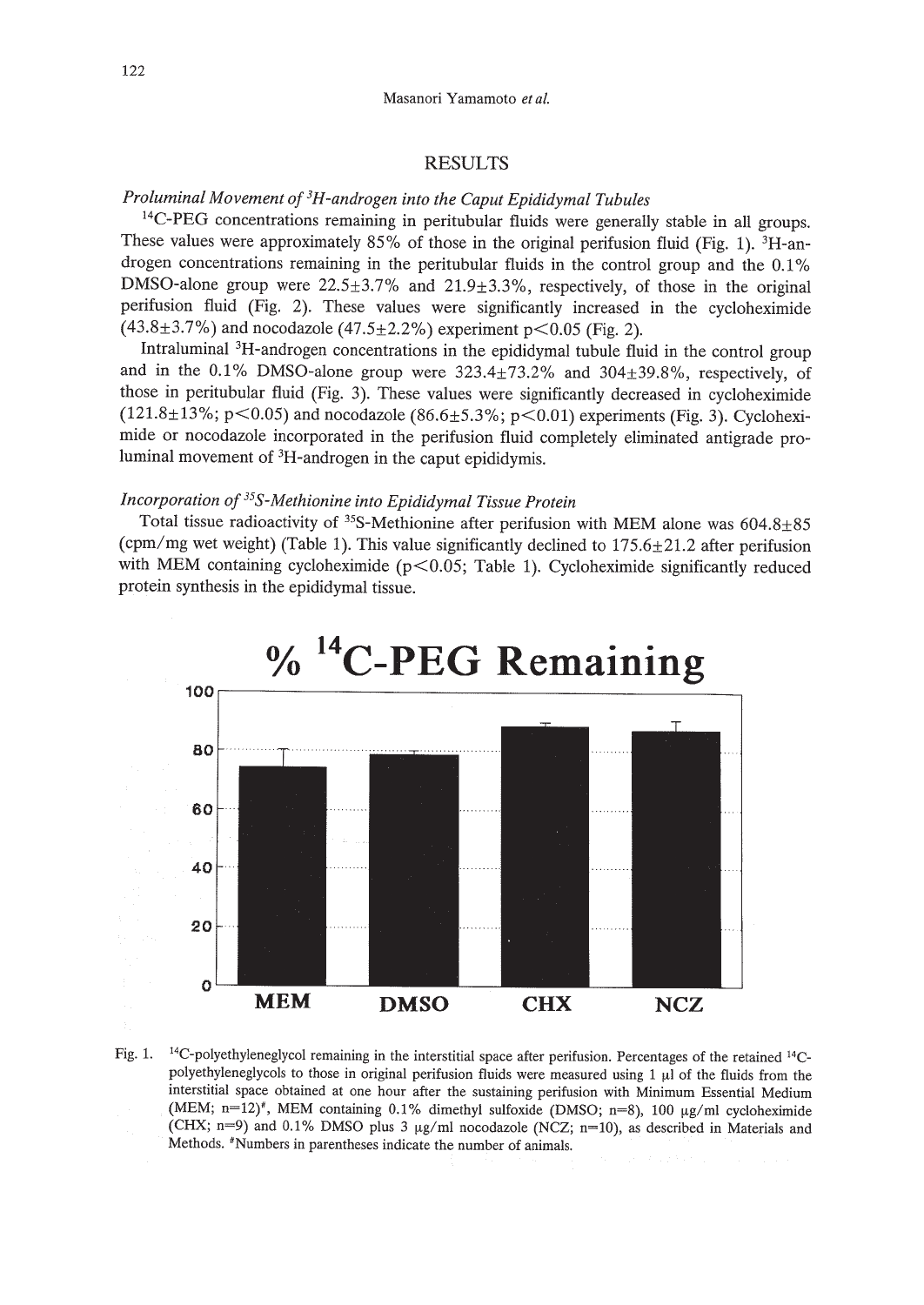# RESULTS

# *Proluminal Movement of 3H-androgen into the Caput Epididymal Tubules*

<sup>14</sup>C-PEG concentrations remaining in peritubular fluids were generally stable in all groups. These values were approximately 85% of those in the original perifusion fluid (Fig. 1). <sup>3</sup>H-androgen concentrations remaining in the peritubular fluids in the control group and the 0.1% DMSO-alone group were  $22.5\pm3.7\%$  and  $21.9\pm3.3\%$ , respectively, of those in the original perifusion fluid (Fig. 2). These values were significantly increased in the cycloheximide  $(43.8\pm3.7\%)$  and nocodazole  $(47.5\pm2.2\%)$  experiment p<0.05 (Fig. 2).

Intraluminal 3H-androgen concentrations in the epididymal tubule fluid in the control group and in the 0.1% DMSO-alone group were 323.4±73.2% and 304±39.8%, respectively, of those in peritubular fluid (Fig. 3). These values were significantly decreased in cycloheximide (121.8 $\pm$ 13%; p<0.05) and nocodazole (86.6 $\pm$ 5.3%; p<0.01) experiments (Fig. 3). Cycloheximide or nocodazole incorporated in the perifusion fluid completely eliminated antigrade proluminal movement of 3H-androgen in the caput epididymis.

# *Incorporation of 35S-Methionine into Epididymal Tissue Protein*

Total tissue radioactivity of  $35S$ -Methionine after perifusion with MEM alone was  $604.8\pm85$ (cpm/mg wet weight) (Table 1). This value significantly declined to  $175.6 \pm 21.2$  after perifusion with MEM containing cycloheximide ( $p$ <0.05; Table 1). Cycloheximide significantly reduced protein synthesis in the epididymal tissue.



Fig. 1. <sup>14</sup>C-polyethyleneglycol remaining in the interstitial space after perifusion. Percentages of the retained <sup>14</sup>Cpolyethyleneglycols to those in original perifusion fluids were measured using  $1 \mu l$  of the fluids from the interstitial space obtained at one hour after the sustaining perifusion with Minimum Essential Medium (MEM; n=12)<sup>\*</sup>, MEM containing 0.1% dimethyl sulfoxide (DMSO; n=8), 100  $\mu$ g/ml cycloheximide (CHX; n=9) and 0.1% DMSO plus 3  $\mu$ g/ml nocodazole (NCZ; n=10), as described in Materials and Methods. \*Numbers in parentheses indicate the number of animals.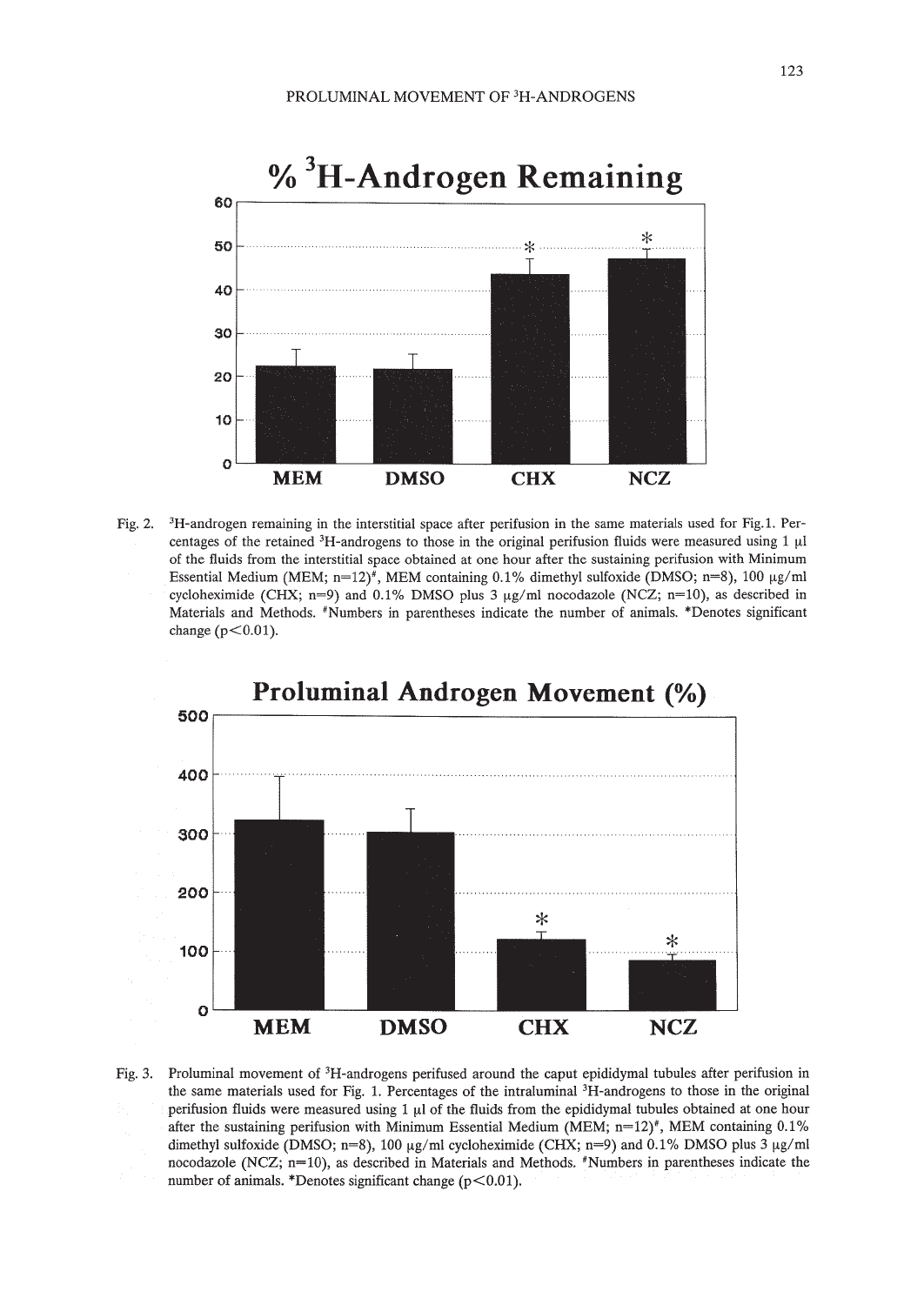

Fig. 2. 3H-androgen remaining in the interstitial space after perifusion in the same materials used for Fig.1. Percentages of the retained  ${}^{3}H$ -androgens to those in the original perifusion fluids were measured using 1  $\mu$ l of the fluids from the interstitial space obtained at one hour after the sustaining perifusion with Minimum Essential Medium (MEM;  $n=12$ )<sup>#</sup>, MEM containing 0.1% dimethyl sulfoxide (DMSO;  $n=8$ ), 100  $\mu$ g/ml cycloheximide (CHX; n=9) and 0.1% DMSO plus 3  $\mu$ g/ml nocodazole (NCZ; n=10), as described in Materials and Methods. #Numbers in parentheses indicate the number of animals. \*Denotes significant change ( $p<0.01$ ).



Fig. 3. Proluminal movement of 3H-androgens perifused around the caput epididymal tubules after perifusion in the same materials used for Fig. 1. Percentages of the intraluminal 3H-androgens to those in the original perifusion fluids were measured using  $1 \mu l$  of the fluids from the epididymal tubules obtained at one hour after the sustaining perifusion with Minimum Essential Medium (MEM;  $n=12$ )<sup>#</sup>, MEM containing 0.1% dimethyl sulfoxide (DMSO; n=8), 100  $\mu$ g/ml cycloheximide (CHX; n=9) and 0.1% DMSO plus 3  $\mu$ g/ml nocodazole (NCZ; n=10), as described in Materials and Methods. #Numbers in parentheses indicate the number of animals. \*Denotes significant change ( $p$ <0.01).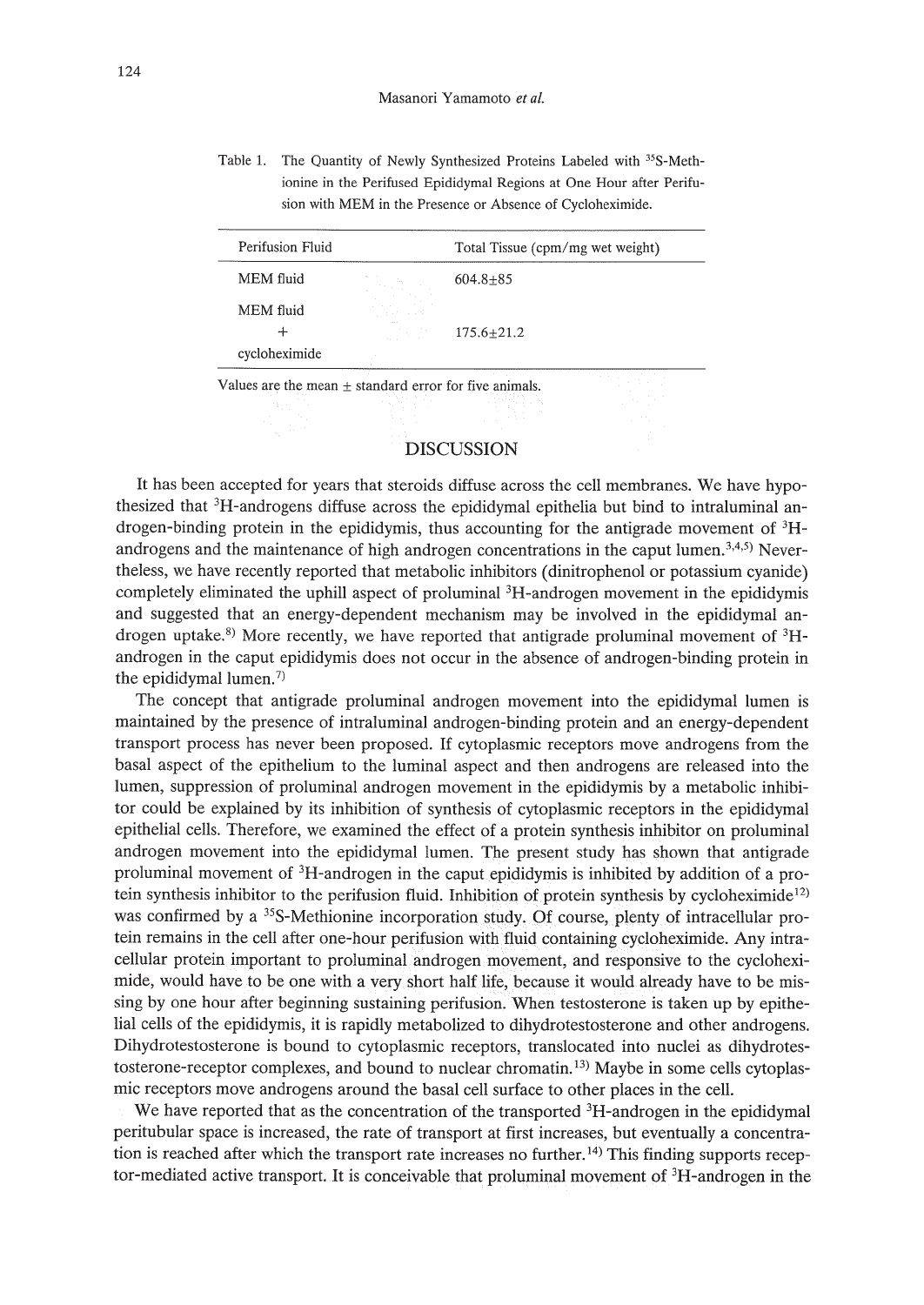Table 1. The Quantity of Newly Synthesized Proteins Labeled with 35S-Methionine in the Perifused Epididymal Regions at One Hour after Perifusion with MEM in the Presence or Absence of Cycloheximide.

| Perifusion Fluid |                                                                | Total Tissue (cpm/mg wet weight) |
|------------------|----------------------------------------------------------------|----------------------------------|
| MEM fluid        | Million Archives                                               | $604.8 + 85$                     |
| MEM fluid        | and the contract of<br>graduate and the<br>company to a series |                                  |
|                  | ALC U<br>计内容 网络小说                                              | $175.6 + 21.2$                   |
| cycloheximide    |                                                                |                                  |
|                  |                                                                | the contract of the contract of  |

Values are the mean  $\pm$  standard error for five animals.

# DISCUSSION

It has been accepted for years that steroids diffuse across the cell membranes. We have hypothesized that 3H-androgens diffuse across the epididymal epithelia but bind to intraluminal androgen-binding protein in the epididymis, thus accounting for the antigrade movement of 3Handrogens and the maintenance of high androgen concentrations in the caput lumen.<sup>3,4,5)</sup> Nevertheless, we have recently reported that metabolic inhibitors (dinitrophenol or potassium cyanide) completely eliminated the uphill aspect of proluminal 3H-androgen movement in the epididymis and suggested that an energy-dependent mechanism may be involved in the epididymal androgen uptake.<sup>8)</sup> More recently, we have reported that antigrade proluminal movement of  ${}^{3}$ Handrogen in the caput epididymis does not occur in the absence of androgen-binding protein in the epididymal lumen.<sup>7)</sup>

The concept that antigrade proluminal androgen movement into the epididymal lumen is maintained by the presence of intraluminal androgen-binding protein and an energy-dependent transport process has never been proposed. If cytoplasmic receptors move androgens from the basal aspect of the epithelium to the luminal aspect and then androgens are released into the lumen, suppression of proluminal androgen movement in the epididymis by a metabolic inhibitor could be explained by its inhibition of synthesis of cytoplasmic receptors in the epididymal epithelial cells. Therefore, we examined the effect of a protein synthesis inhibitor on proluminal androgen movement into the epididymal lumen. The present study has shown that antigrade proluminal movement of 3H-androgen in the caput epididymis is inhibited by addition of a protein synthesis inhibitor to the perifusion fluid. Inhibition of protein synthesis by cycloheximide<sup>12)</sup> was confirmed by a <sup>35</sup>S-Methionine incorporation study. Of course, plenty of intracellular protein remains in the cell after one-hour perifusion with fluid containing cycloheximide. Any intracellular protein important to proluminal androgen movement, and responsive to the cycloheximide, would have to be one with a very short half life, because it would already have to be missing by one hour after beginning sustaining perifusion. When testosterone is taken up by epithelial cells of the epididymis, it is rapidly metabolized to dihydrotestosterone and other androgens. Dihydrotestosterone is bound to cytoplasmic receptors, translocated into nuclei as dihydrotestosterone-receptor complexes, and bound to nuclear chromatin. 13) Maybe in some cells cytoplasmic receptors move androgens around the basal cell surface to other places in the cell.

We have reported that as the concentration of the transported  ${}^{3}H$ -androgen in the epididymal peritubular space is increased, the rate of transport at first increases, but eventually a concentration is reached after which the transport rate increases no further.<sup>14)</sup> This finding supports receptor-mediated active transport. It is conceivable that proluminal movement of  ${}^{3}H$ -androgen in the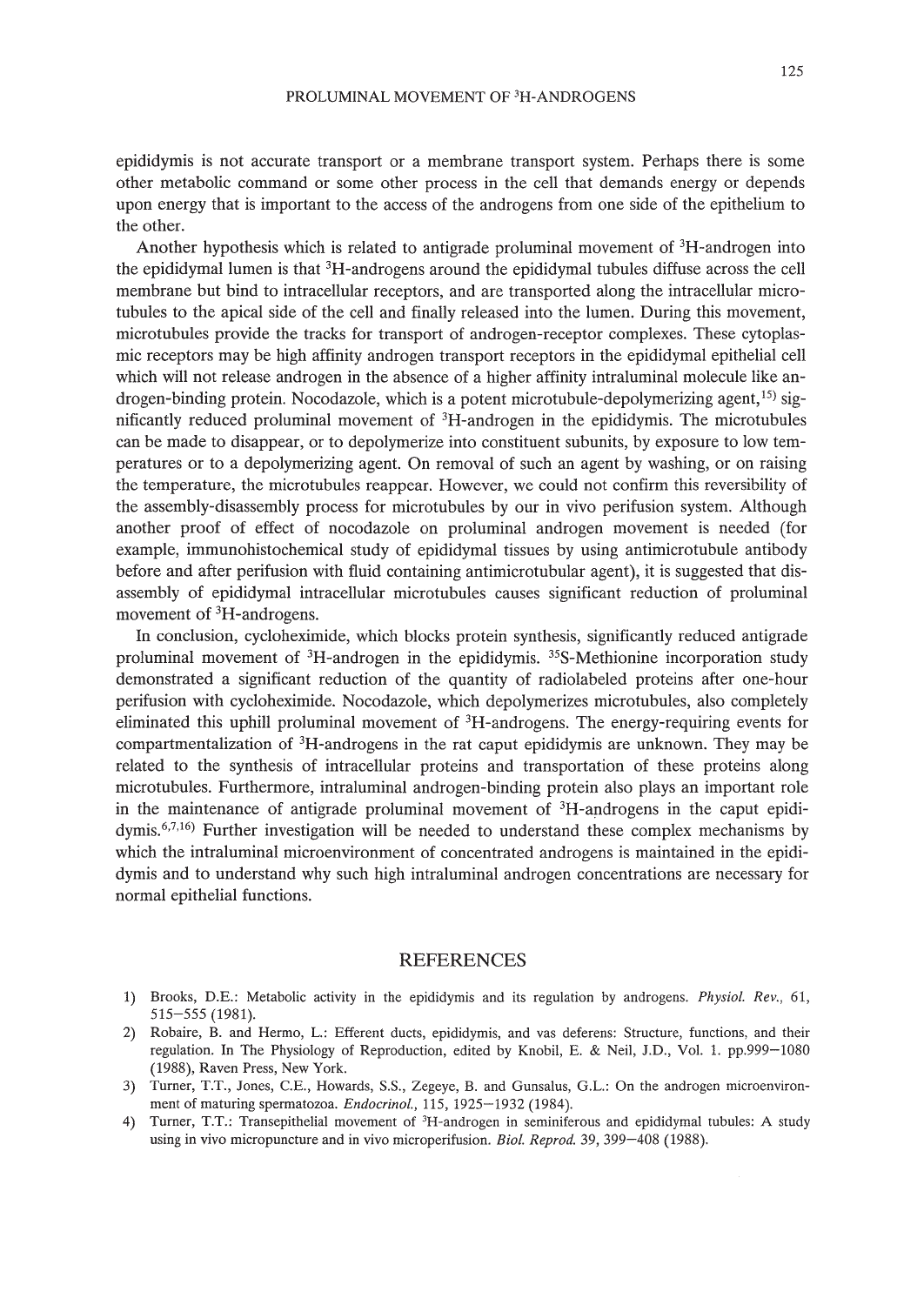epididymis is not accurate transport or a membrane transport system. Perhaps there is some other metabolic command or some other process in the cell that demands energy or depends upon energy that is important to the access of the androgens from one side of the epithelium to the other.

Another hypothesis which is related to antigrade proluminal movement of  ${}^{3}H$ -androgen into the epididymal lumen is that 3H-androgens around the epididymal tubules diffuse across the cell membrane but bind to intracellular receptors, and are transported along the intracellular microtubules to the apical side of the cell and finally released into the lumen. During this movement, microtubules provide the tracks for transport of androgen-receptor complexes. These cytoplasmic receptors may be high affinity androgen transport receptors in the epididymal epithelial cell which will not release androgen in the absence of a higher affinity intraluminal molecule like androgen-binding protein. Nocodazole, which is a potent microtubule-depolymerizing agent,<sup>15)</sup> significantly reduced proluminal movement of 3H-androgen in the epididymis. The microtubules can be made to disappear, or to depolymerize into constituent subunits, by exposure to low temperatures or to a depolymerizing agent. On removal of such an agent by washing, or on raising the temperature, the microtubules reappear. However, we could not confirm this reversibility of the assembly-disassembly process for microtubules by our in vivo perifusion system. Although another proof of effect of nocodazole on proluminal androgen movement is needed (for example, immunohistochemical study of epididymal tissues by using antimicrotubule antibody before and after perifusion with fluid containing antimicrotubular agent), it is suggested that disassembly of epididymal intracellular microtubules causes significant reduction of proluminal movement of <sup>3</sup>H-androgens.

In conclusion, cycloheximide, which blocks protein synthesis, significantly reduced antigrade proluminal movement of 3H-androgen in the epididymis. 35S-Methionine incorporation study demonstrated a significant reduction of the quantity of radiolabeled proteins after one-hour perifusion with cycloheximide. Nocodazole, which depolymerizes microtubules, also completely eliminated this uphill proluminal movement of 3H-androgens. The energy-requiring events for compartmentalization of 3H-androgens in the rat caput epididymis are unknown. They may be related to the synthesis of intracellular proteins and transportation of these proteins along microtubules. Furthermore, intraluminal androgen-binding protein also plays an important role in the maintenance of antigrade proluminal movement of  ${}^{3}H$ -androgens in the caput epididymis.<sup>6,7,16</sup>) Further investigation will be needed to understand these complex mechanisms by which the intraluminal microenvironment of concentrated androgens is maintained in the epididymis and to understand why such high intraluminal androgen concentrations are necessary for normal epithelial functions.

#### REFERENCES

- 1) Brooks, D.E.: Metabolic activity in the epididymis and its regulation by androgens. *Physio!. Rev., 61,* 515-555 (1981).
- 2) Robaire, B. and Hermo, L.: Efferent ducts, epididymis, and vas deferens: Structure, functions, and their regulation. In The Physiology of Reproduction, edited by Knobil, E. & Neil, J.D., Vol. 1. pp.999-1080 (1988), Raven Press, New York.
- 3) Turner, T.T., Jones, C.E., Howards, S.S., Zegeye, B. and Gunsalus, G.L.: On the androgen microenvironment of maturing spermatozoa. *Endocrino!.,* 115, 1925-1932 (1984).
- 4) Turner, T.T.: Transepithelial movement of <sup>3</sup>H-androgen in seminiferous and epididymal tubules: A study using in vivo micropuncture and in vivo microperifusion. *Bio!. Reprod.* 39, 399-408 (1988).